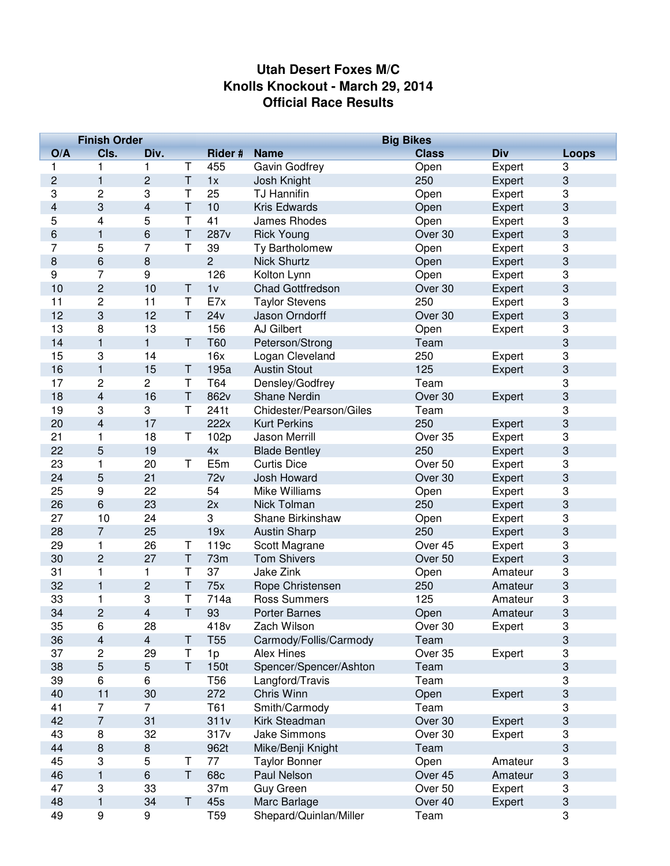## **Utah Desert Foxes M/C Knolls Knockout - March 29, 2014 Official Race Results**

|                         | <b>Finish Order</b><br><b>Big Bikes</b> |                         |              |                 |                         |              |         |                           |
|-------------------------|-----------------------------------------|-------------------------|--------------|-----------------|-------------------------|--------------|---------|---------------------------|
| O/A                     | CIs.                                    | Div.                    |              | Rider #         | <b>Name</b>             | <b>Class</b> | Div     | <b>Loops</b>              |
| 1                       | 1                                       | 1                       | Т            | 455             | Gavin Godfrey           | Open         | Expert  | 3                         |
| $\overline{c}$          | $\mathbf{1}$                            | $\overline{c}$          | T            | 1x              | Josh Knight             | 250          | Expert  | 3                         |
| 3                       | $\overline{2}$                          | 3                       | T            | 25              | <b>TJ Hannifin</b>      | Open         | Expert  | 3                         |
| $\overline{\mathbf{4}}$ | 3                                       | $\overline{\mathbf{4}}$ | T            | 10              | Kris Edwards            | Open         | Expert  | 3                         |
| 5                       | 4                                       | 5                       | $\mathsf T$  | 41              | <b>James Rhodes</b>     | Open         | Expert  | 3                         |
| 6                       | $\mathbf{1}$                            | 6                       | T            | 287v            | <b>Rick Young</b>       | Over 30      | Expert  | 3                         |
| 7                       | 5                                       | $\overline{7}$          | T            | 39              | Ty Bartholomew          | Open         | Expert  | 3                         |
| 8                       | 6                                       | 8                       |              | $\overline{c}$  | <b>Nick Shurtz</b>      | Open         | Expert  | 3                         |
| 9                       | 7                                       | 9                       |              | 126             | Kolton Lynn             | Open         | Expert  | 3                         |
| 10                      | $\overline{c}$                          | 10                      | $\top$       | 1 <sub>V</sub>  | <b>Chad Gottfredson</b> | Over 30      | Expert  | 3                         |
| 11                      | 2                                       | 11                      | T            | E7x             | <b>Taylor Stevens</b>   | 250          | Expert  | 3                         |
| 12                      | 3                                       | 12                      | $\top$       | 24v             | Jason Orndorff          | Over 30      | Expert  | $\ensuremath{\mathsf{3}}$ |
| 13                      | 8                                       | 13                      |              | 156             | AJ Gilbert              | Open         | Expert  | 3                         |
| 14                      | $\mathbf{1}$                            | $\mathbf{1}$            | $\mathsf T$  | T60             | Peterson/Strong         | Team         |         | 3                         |
| 15                      | 3                                       | 14                      |              | 16x             | Logan Cleveland         | 250          | Expert  | 3                         |
| 16                      | $\mathbf{1}$                            | 15                      | T            | 195a            | <b>Austin Stout</b>     | 125          | Expert  | 3                         |
| 17                      | $\overline{c}$                          | $\overline{c}$          | Τ            | T64             | Densley/Godfrey         | Team         |         | $\ensuremath{\mathsf{3}}$ |
| 18                      | 4                                       | 16                      | T            | 862v            | <b>Shane Nerdin</b>     | Over 30      | Expert  | 3                         |
| 19                      | 3                                       | 3                       | T            | 241t            | Chidester/Pearson/Giles | Team         |         | 3                         |
| 20                      | 4                                       | 17                      |              | 222x            | <b>Kurt Perkins</b>     | 250          | Expert  | 3                         |
| 21                      | 1                                       | 18                      | T            | 102p            | <b>Jason Merrill</b>    | Over 35      | Expert  | 3                         |
| 22                      | 5                                       | 19                      |              | 4x              | <b>Blade Bentley</b>    | 250          | Expert  | $\ensuremath{\mathsf{3}}$ |
| 23                      | 1                                       | 20                      | $\mathsf T$  | E5m             | <b>Curtis Dice</b>      | Over 50      | Expert  | 3                         |
| 24                      | 5                                       | 21                      |              | 72v             | Josh Howard             | Over 30      | Expert  | 3                         |
| 25                      | 9                                       | 22                      |              | 54              | Mike Williams           | Open         | Expert  | 3                         |
| 26                      | 6                                       | 23                      |              | 2x              | Nick Tolman             | 250          | Expert  | 3                         |
| 27                      | 10                                      | 24                      |              | 3               | Shane Birkinshaw        | Open         | Expert  | 3                         |
| 28                      | $\overline{7}$                          | 25                      |              | 19x             | <b>Austin Sharp</b>     | 250          | Expert  | $\ensuremath{\mathsf{3}}$ |
| 29                      | 1                                       | 26                      | Τ            | 119c            | Scott Magrane           | Over 45      | Expert  | $\ensuremath{\mathsf{3}}$ |
| 30                      | $\overline{c}$                          | 27                      | $\sf T$      | 73m             | <b>Tom Shivers</b>      | Over 50      | Expert  | 3                         |
| 31                      | 1                                       | 1                       | Τ            | 37              | Jake Zink               | Open         | Amateur | 3                         |
| 32                      | $\mathbf{1}$                            | $\overline{c}$          | T            | 75x             | Rope Christensen        | 250          | Amateur | 3                         |
| 33                      | 1                                       | 3                       | Т            | 714a            | <b>Ross Summers</b>     | 125          | Amateur | 3                         |
| 34                      | $\overline{2}$                          | $\overline{\mathbf{4}}$ | T            | 93              | <b>Porter Barnes</b>    | Open         | Amateur | 3                         |
| 35                      | 6                                       | 28                      |              | 418v            | Zach Wilson             | Over 30      | Expert  | 3                         |
| 36                      | 4                                       | $\overline{\mathbf{4}}$ | Τ            | T <sub>55</sub> | Carmody/Follis/Carmody  | Team         |         | 3                         |
| 37                      | 2                                       | 29                      | T            | 1p              | <b>Alex Hines</b>       | Over 35      | Expert  | 3                         |
| 38                      | 5                                       | $\sqrt{5}$              | $\mathsf{T}$ | 150t            | Spencer/Spencer/Ashton  | Team         |         | 3                         |
| 39                      | 6                                       | 6                       |              | T <sub>56</sub> | Langford/Travis         | Team         |         | 3                         |
| 40                      | 11                                      | 30                      |              | 272             | Chris Winn              | Open         | Expert  | 3                         |
| 41                      | $\overline{7}$                          | $\overline{7}$          |              | T61             | Smith/Carmody           | Team         |         | 3                         |
| 42                      | $\overline{7}$                          | 31                      |              | 311v            | Kirk Steadman           | Over 30      | Expert  | 3                         |
| 43                      | 8                                       | 32                      |              | 317v            | Jake Simmons            | Over 30      | Expert  | 3                         |
| 44                      | 8                                       | 8                       |              | 962t            | Mike/Benji Knight       | Team         |         | 3                         |
| 45                      | 3                                       | 5                       | Τ            | 77              | <b>Taylor Bonner</b>    | Open         | Amateur | 3                         |
| 46                      | $\mathbf{1}$                            | $\,6$                   | $\mathsf T$  | 68c             | Paul Nelson             | Over 45      | Amateur | 3                         |
| 47                      | 3                                       | 33                      |              | 37 <sub>m</sub> | <b>Guy Green</b>        | Over 50      | Expert  | $\ensuremath{\mathsf{3}}$ |
| 48                      | $\mathbf{1}$                            | 34                      | T            | 45s             | Marc Barlage            | Over 40      | Expert  | $\ensuremath{\mathsf{3}}$ |
| 49                      | 9                                       | 9                       |              | T <sub>59</sub> | Shepard/Quinlan/Miller  | Team         |         | 3                         |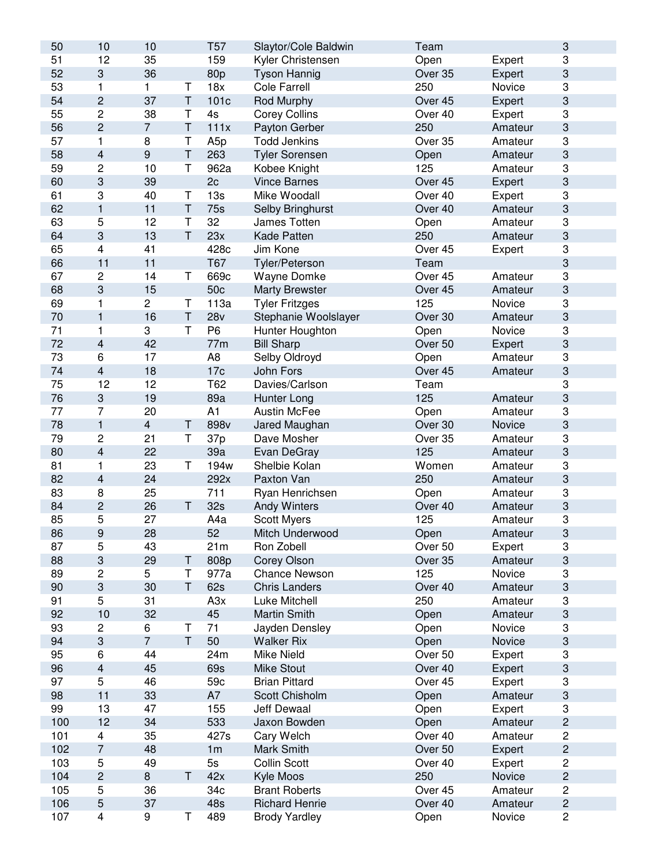| 50  | 10                        | 10               |              | T <sub>57</sub> | Slaytor/Cole Baldwin  | Team               |         | $\ensuremath{\mathsf{3}}$ |
|-----|---------------------------|------------------|--------------|-----------------|-----------------------|--------------------|---------|---------------------------|
| 51  | 12                        | 35               |              | 159             | Kyler Christensen     | Open               | Expert  | 3                         |
| 52  | $\ensuremath{\mathsf{3}}$ | 36               |              | 80p             | <b>Tyson Hannig</b>   | Over 35            | Expert  | 3                         |
| 53  | $\mathbf{1}$              | $\mathbf{1}$     | Т            | 18x             | Cole Farrell          | 250                | Novice  | 3                         |
| 54  | $\overline{c}$            | 37               | T            | 101c            | <b>Rod Murphy</b>     | Over 45            | Expert  | 3                         |
| 55  | $\overline{c}$            | 38               | Τ            | 4s              | <b>Corey Collins</b>  | Over 40            | Expert  | 3                         |
| 56  | $\overline{c}$            | $\overline{7}$   | $\top$       | 111x            | Payton Gerber         | 250                | Amateur | 3                         |
| 57  | 1                         | 8                | Т            | A <sub>5p</sub> | <b>Todd Jenkins</b>   | Over 35            | Amateur | 3                         |
| 58  | $\overline{\mathbf{4}}$   | $\boldsymbol{9}$ | $\top$       | 263             | <b>Tyler Sorensen</b> | Open               | Amateur | 3                         |
| 59  | $\overline{2}$            | 10               | T            | 962a            | Kobee Knight          | 125                | Amateur | 3                         |
| 60  | 3                         | 39               |              | 2c              | <b>Vince Barnes</b>   | Over 45            | Expert  | $\ensuremath{\mathsf{3}}$ |
| 61  | 3                         | 40               | Τ            | 13s             | Mike Woodall          | Over 40            | Expert  | 3                         |
| 62  | $\mathbf{1}$              | 11               | T            | 75s             | Selby Bringhurst      | Over 40            | Amateur | 3                         |
| 63  | 5                         | 12               | T            | 32              | James Totten          | Open               | Amateur | 3                         |
| 64  | $\sqrt{3}$                | 13               | $\mathsf T$  | 23x             | Kade Patten           | 250                | Amateur | 3                         |
| 65  | 4                         | 41               |              | 428c            | Jim Kone              | Over 45            |         | 3                         |
|     |                           |                  |              |                 |                       |                    | Expert  | 3                         |
| 66  | 11                        | 11               |              | T67             | Tyler/Peterson        | Team               |         |                           |
| 67  | $\mathbf 2$               | 14               | T            | 669c            | <b>Wayne Domke</b>    | Over 45            | Amateur | 3                         |
| 68  | $\sqrt{3}$                | 15               |              | 50c             | <b>Marty Brewster</b> | Over 45            | Amateur | $\ensuremath{\mathsf{3}}$ |
| 69  | 1                         | $\sqrt{2}$       | Τ            | 113a            | <b>Tyler Fritzges</b> | 125                | Novice  | 3                         |
| 70  | $\mathbf{1}$              | 16               | $\sf T$      | 28v             | Stephanie Woolslayer  | Over 30            | Amateur | 3                         |
| 71  | 1                         | 3                | T            | P <sub>6</sub>  | Hunter Houghton       | Open               | Novice  | 3                         |
| 72  | $\overline{\mathbf{4}}$   | 42               |              | 77m             | <b>Bill Sharp</b>     | Over <sub>50</sub> | Expert  | 3                         |
| 73  | 6                         | 17               |              | A8              | Selby Oldroyd         | Open               | Amateur | 3                         |
| 74  | $\overline{\mathbf{4}}$   | 18               |              | 17 <sub>c</sub> | John Fors             | Over 45            | Amateur | 3                         |
| 75  | 12                        | 12               |              | T62             | Davies/Carlson        | Team               |         | 3                         |
| 76  | $\ensuremath{\mathsf{3}}$ | 19               |              | 89a             | Hunter Long           | 125                | Amateur | 3                         |
| 77  | $\overline{7}$            | 20               |              | A1              | <b>Austin McFee</b>   | Open               | Amateur | 3                         |
| 78  | $\mathbf{1}$              | $\overline{4}$   | T            | 898v            | Jared Maughan         | Over 30            | Novice  | 3                         |
| 79  | $\mathbf 2$               | 21               | T            | 37p             | Dave Mosher           | Over 35            | Amateur | 3                         |
| 80  | $\overline{\mathbf{4}}$   | 22               |              | 39a             | Evan DeGray           | 125                | Amateur | 3                         |
| 81  | 1                         | 23               | T            | 194w            | Shelbie Kolan         | Women              | Amateur | 3                         |
| 82  | $\overline{\mathbf{4}}$   | 24               |              | 292x            | Paxton Van            | 250                | Amateur | 3                         |
| 83  | 8                         | 25               |              | 711             | Ryan Henrichsen       | Open               | Amateur | 3                         |
| 84  | $\overline{c}$            | 26               | T            | 32s             | <b>Andy Winters</b>   | Over 40            | Amateur | $\ensuremath{\mathsf{3}}$ |
| 85  | 5                         | 27               |              | A4a             | <b>Scott Myers</b>    | 125                | Amateur | 3                         |
| 86  | $\boldsymbol{9}$          | 28               |              | 52              | Mitch Underwood       | Open               | Amateur | 3                         |
| 87  | 5                         | 43               |              | 21m             | Ron Zobell            | Over 50            | Expert  | 3                         |
| 88  | $\ensuremath{\mathsf{3}}$ | 29               | Τ            | 808p            | Corey Olson           | Over 35            | Amateur | 3                         |
| 89  | $\mathbf 2$               | 5                | T            | 977a            | <b>Chance Newson</b>  | 125                | Novice  | 3                         |
| 90  | $\ensuremath{\mathsf{3}}$ | 30               | T            | 62s             | <b>Chris Landers</b>  | Over 40            | Amateur | 3                         |
| 91  | 5                         | 31               |              | A3x             | Luke Mitchell         | 250                | Amateur | 3                         |
| 92  | 10                        | 32               |              | 45              | <b>Martin Smith</b>   | Open               | Amateur | 3                         |
| 93  | $\overline{c}$            | 6                | Τ            | 71              | Jayden Densley        | Open               | Novice  | 3                         |
| 94  | $\ensuremath{\mathsf{3}}$ | $\overline{7}$   | $\mathsf{T}$ | 50              | <b>Walker Rix</b>     | Open               | Novice  | 3                         |
| 95  | 6                         | 44               |              | 24m             | <b>Mike Nield</b>     | Over 50            | Expert  | 3                         |
| 96  | $\overline{\mathbf{4}}$   | 45               |              | 69s             | <b>Mike Stout</b>     | Over 40            | Expert  | 3                         |
| 97  | 5                         | 46               |              | 59c             | <b>Brian Pittard</b>  | Over 45            | Expert  | 3                         |
| 98  | 11                        | 33               |              | A7              | Scott Chisholm        | Open               | Amateur | 3                         |
|     |                           |                  |              |                 |                       |                    |         |                           |
| 99  | 13                        | 47               |              | 155             | <b>Jeff Dewaal</b>    | Open               | Expert  | 3                         |
| 100 | 12                        | 34               |              | 533             | Jaxon Bowden          | Open               | Amateur | $\mathbf{2}$              |
| 101 | $\overline{\mathbf{4}}$   | 35               |              | 427s            | Cary Welch            | Over 40            | Amateur | $\mathbf 2$               |
| 102 | $\overline{7}$            | 48               |              | 1 <sub>m</sub>  | Mark Smith            | Over 50            | Expert  | $\mathbf{2}$              |
| 103 | 5                         | 49               |              | 5s              | Collin Scott          | Over 40            | Expert  | $\mathbf 2$               |
| 104 | $\mathbf{2}$              | 8                | T            | 42x             | Kyle Moos             | 250                | Novice  | $\mathbf{2}$              |
| 105 | 5                         | 36               |              | 34c             | <b>Brant Roberts</b>  | Over 45            | Amateur | $\mathbf 2$               |
| 106 | $\sqrt{5}$                | 37               |              | 48s             | <b>Richard Henrie</b> | Over 40            | Amateur | $\mathbf{2}$              |
| 107 | $\overline{\mathbf{4}}$   | 9                | T            | 489             | <b>Brody Yardley</b>  | Open               | Novice  | $\overline{\mathbf{c}}$   |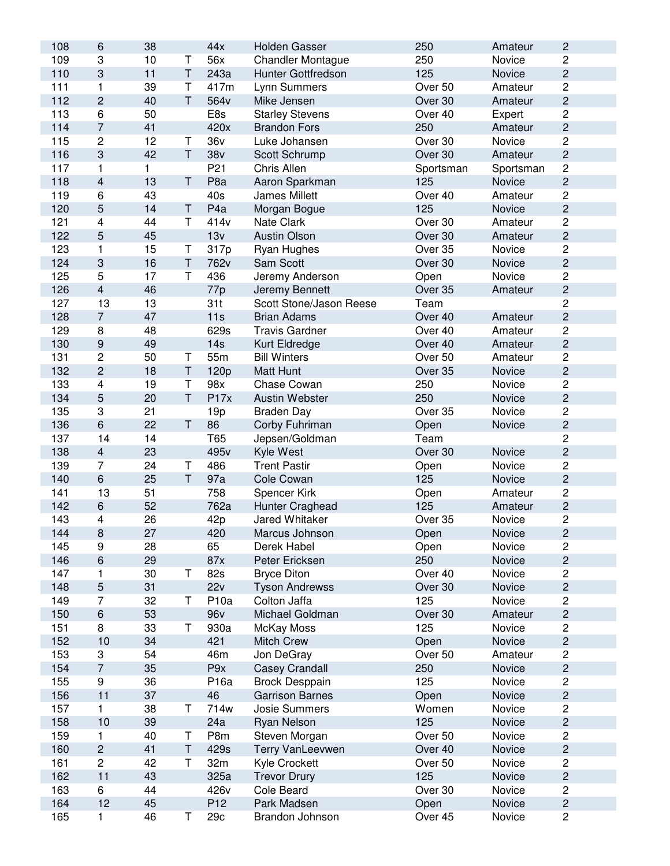| 108 | 6                         | 38           |    | 44x              | <b>Holden Gasser</b>      | 250       | Amateur            | $\sqrt{2}$     |
|-----|---------------------------|--------------|----|------------------|---------------------------|-----------|--------------------|----------------|
| 109 | 3                         | 10           | Т  | 56x              | <b>Chandler Montague</b>  | 250       | Novice             | $\overline{2}$ |
| 110 | $\ensuremath{\mathsf{3}}$ | 11           | T  | 243a             | <b>Hunter Gottfredson</b> | 125       | Novice             | $\mathbf 2$    |
| 111 | 1                         | 39           | Τ  | 417m             | Lynn Summers              | Over 50   | Amateur            | $\overline{c}$ |
| 112 | $\overline{c}$            | 40           | T  | 564v             | Mike Jensen               | Over 30   | Amateur            | $\mathbf 2$    |
| 113 | 6                         | 50           |    | E8s              | <b>Starley Stevens</b>    | Over 40   | Expert             | $\overline{c}$ |
| 114 | $\overline{7}$            | 41           |    | 420x             | <b>Brandon Fors</b>       | 250       | Amateur            | $\mathbf 2$    |
| 115 | 2                         | 12           | Τ  | 36v              | Luke Johansen             | Over 30   | Novice             | $\overline{c}$ |
| 116 | 3                         | 42           | T  | 38 <sub>V</sub>  | Scott Schrump             | Over 30   | Amateur            | $\sqrt{2}$     |
| 117 | 1                         | $\mathbf{1}$ |    | P <sub>21</sub>  | Chris Allen               | Sportsman | Sportsman          | $\overline{c}$ |
| 118 | 4                         | 13           | T  | P <sub>8a</sub>  | Aaron Sparkman            | 125       | Novice             | $\overline{c}$ |
| 119 | 6                         | 43           |    | 40s              | <b>James Millett</b>      | Over 40   | Amateur            | 2              |
| 120 | 5                         | 14           | Τ  | P <sub>4</sub> a | Morgan Bogue              | 125       | Novice             | $\overline{c}$ |
| 121 | 4                         | 44           | T  | 414v             | Nate Clark                | Over 30   | Amateur            | 2              |
| 122 | 5                         | 45           |    | 13v              | <b>Austin Olson</b>       | Over 30   | Amateur            | $\overline{c}$ |
| 123 | 1                         | 15           | T  | 317p             | Ryan Hughes               | Over 35   | Novice             | $\overline{c}$ |
| 124 | 3                         | 16           | T  | 762v             | Sam Scott                 | Over 30   | Novice             | $\mathbf 2$    |
| 125 | 5                         | 17           | T  | 436              | Jeremy Anderson           | Open      | Novice             | $\overline{c}$ |
| 126 | $\overline{\mathbf{4}}$   | 46           |    | 77p              | Jeremy Bennett            | Over 35   | Amateur            | $\sqrt{2}$     |
| 127 | 13                        | 13           |    | 31t              | Scott Stone/Jason Reese   | Team      |                    | $\overline{c}$ |
| 128 | $\overline{7}$            | 47           |    | 11s              | <b>Brian Adams</b>        | Over 40   |                    | $\overline{c}$ |
|     |                           | 48           |    |                  |                           | Over 40   | Amateur<br>Amateur | $\mathbf 2$    |
| 129 | $\bf 8$                   |              |    | 629s             | <b>Travis Gardner</b>     |           |                    |                |
| 130 | $\boldsymbol{9}$          | 49           |    | 14s              | Kurt Eldredge             | Over 40   | Amateur            | $\sqrt{2}$     |
| 131 | $\sqrt{2}$                | 50           | Τ  | 55m              | <b>Bill Winters</b>       | Over 50   | Amateur            | $\sqrt{2}$     |
| 132 | $\overline{c}$            | 18           | Τ  | 120p             | <b>Matt Hunt</b>          | Over 35   | Novice             | $\mathbf 2$    |
| 133 | 4                         | 19           | T  | 98x              | Chase Cowan               | 250       | Novice             | $\overline{c}$ |
| 134 | 5                         | 20           | T. | P17x             | Austin Webster            | 250       | Novice             | $\sqrt{2}$     |
| 135 | 3                         | 21           |    | 19p              | <b>Braden Day</b>         | Over 35   | Novice             | 2              |
| 136 | $\,6\,$                   | 22           | T. | 86               | Corby Fuhriman            | Open      | Novice             | $\overline{c}$ |
| 137 | 14                        | 14           |    | T65              | Jepsen/Goldman            | Team      |                    | 2              |
| 138 | $\overline{\mathbf{4}}$   | 23           |    | 495 <sub>v</sub> | Kyle West                 | Over 30   | Novice             | $\overline{c}$ |
| 139 | 7                         | 24           | T  | 486              | <b>Trent Pastir</b>       | Open      | Novice             | $\sqrt{2}$     |
| 140 | $\,6\,$                   | 25           | T. | 97a              | Cole Cowan                | 125       | Novice             | $\mathbf 2$    |
| 141 | 13                        | 51           |    | 758              | Spencer Kirk              | Open      | Amateur            | $\overline{c}$ |
| 142 | $\,6\,$                   | 52           |    | 762a             | Hunter Craghead           | 125       | Amateur            | $\sqrt{2}$     |
| 143 | $\overline{\mathbf{4}}$   | 26           |    | 42p              | Jared Whitaker            | Over 35   | Novice             | $\sqrt{2}$     |
| 144 | 8                         | 27           |    | 420              | Marcus Johnson            | Open      | Novice             | $\mathbf{2}$   |
| 145 | 9                         | 28           |    | 65               | Derek Habel               | Open      | Novice             | $\sqrt{2}$     |
| 146 | 6                         | 29           |    | 87x              | Peter Ericksen            | 250       | Novice             | $\mathbf 2$    |
| 147 | 1                         | 30           | Τ  | 82s              | <b>Bryce Diton</b>        | Over 40   | Novice             | $\overline{c}$ |
| 148 | 5                         | 31           |    | 22v              | <b>Tyson Andrewss</b>     | Over 30   | Novice             | $\overline{c}$ |
| 149 | 7                         | 32           | Т  | P <sub>10a</sub> | Colton Jaffa              | 125       | Novice             | $\overline{c}$ |
| 150 | $\,6$                     | 53           |    | 96 <sub>v</sub>  | Michael Goldman           | Over 30   | Amateur            | $\sqrt{2}$     |
| 151 | 8                         | 33           | Τ  | 930a             | McKay Moss                | 125       | Novice             | $\overline{c}$ |
| 152 | 10                        | 34           |    | 421              | <b>Mitch Crew</b>         | Open      | Novice             | $\sqrt{2}$     |
| 153 | 3                         | 54           |    | 46m              | Jon DeGray                | Over 50   | Amateur            | 2              |
| 154 | $\overline{7}$            | 35           |    | P9x              | <b>Casey Crandall</b>     | 250       | Novice             | $\sqrt{2}$     |
| 155 | 9                         | 36           |    | P16a             | <b>Brock Desppain</b>     | 125       | Novice             | 2              |
| 156 | 11                        | 37           |    | 46               | <b>Garrison Barnes</b>    | Open      | Novice             | $\sqrt{2}$     |
| 157 | 1                         | 38           | Τ  | 714w             | Josie Summers             | Women     | Novice             | $\overline{c}$ |
| 158 | 10                        | 39           |    | 24a              | Ryan Nelson               | 125       | Novice             | $\sqrt{2}$     |
| 159 | 1                         | 40           | Т  | P8m              | Steven Morgan             | Over 50   | Novice             | $\overline{c}$ |
| 160 | $\mathbf{2}$              | 41           | Τ  | 429s             | Terry VanLeevwen          | Over 40   | Novice             | $\sqrt{2}$     |
|     |                           |              |    |                  |                           |           |                    |                |
| 161 | $\overline{c}$            | 42           | Т  | 32m              | Kyle Crockett             | Over 50   | Novice             | $\overline{c}$ |
| 162 | 11                        | 43           |    | 325a             | <b>Trevor Drury</b>       | 125       | Novice             | $\sqrt{2}$     |
| 163 | 6                         | 44           |    | 426v             | Cole Beard                | Over 30   | Novice             | $\overline{c}$ |
| 164 | 12                        | 45           |    | P <sub>12</sub>  | Park Madsen               | Open      | Novice             | $\sqrt{2}$     |
| 165 | 1                         | 46           | Τ  | 29c              | Brandon Johnson           | Over 45   | Novice             | $\overline{c}$ |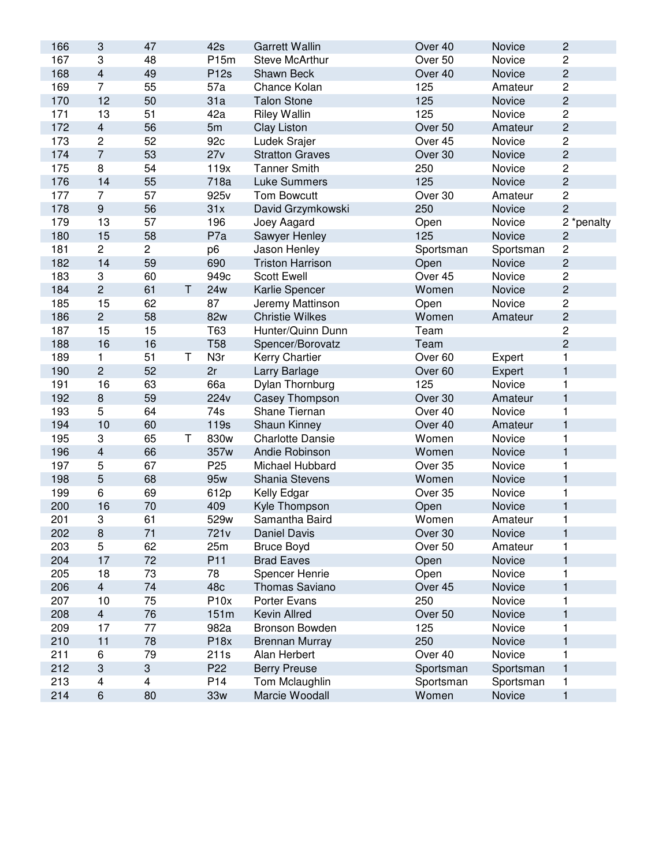| 166 | 3                       | 47             |   | 42s              | <b>Garrett Wallin</b>   | Over 40            | Novice    | $\sqrt{2}$     |
|-----|-------------------------|----------------|---|------------------|-------------------------|--------------------|-----------|----------------|
| 167 | 3                       | 48             |   | P15m             | <b>Steve McArthur</b>   | Over 50            | Novice    | $\overline{c}$ |
| 168 | $\overline{\mathbf{4}}$ | 49             |   | <b>P12s</b>      | Shawn Beck              | Over 40            | Novice    | $\overline{c}$ |
| 169 | $\overline{7}$          | 55             |   | 57a              | Chance Kolan            | 125                | Amateur   | $\mathbf 2$    |
| 170 | 12                      | 50             |   | 31a              | <b>Talon Stone</b>      | 125                | Novice    | $\overline{c}$ |
| 171 | 13                      | 51             |   | 42a              | <b>Riley Wallin</b>     | 125                | Novice    | $\overline{c}$ |
| 172 | $\overline{4}$          | 56             |   | 5m               | <b>Clay Liston</b>      | Over 50            | Amateur   | $\overline{c}$ |
| 173 | $\overline{c}$          | 52             |   | 92c              | Ludek Srajer            | Over 45            | Novice    | $\overline{c}$ |
| 174 | $\overline{7}$          | 53             |   | 27v              | <b>Stratton Graves</b>  | Over 30            | Novice    | $\overline{c}$ |
| 175 | 8                       | 54             |   | 119x             | <b>Tanner Smith</b>     | 250                | Novice    | $\overline{c}$ |
| 176 | 14                      | 55             |   | 718a             | <b>Luke Summers</b>     | 125                | Novice    | $\overline{c}$ |
| 177 | $\overline{7}$          | 57             |   | 925v             | <b>Tom Bowcutt</b>      | Over 30            | Amateur   | $\mathbf 2$    |
| 178 | $\mathsf g$             | 56             |   | 31x              | David Grzymkowski       | 250                | Novice    | $\overline{c}$ |
| 179 | 13                      | 57             |   | 196              | Joey Aagard             | Open               | Novice    | 2 *penalty     |
| 180 | 15                      | 58             |   | P7a              | Sawyer Henley           | 125                | Novice    | $\mathbf 2$    |
| 181 | $\overline{c}$          | $\overline{c}$ |   | p <sub>6</sub>   | Jason Henley            | Sportsman          | Sportsman | $\mathbf 2$    |
| 182 | 14                      | 59             |   | 690              | <b>Triston Harrison</b> | Open               | Novice    | $\overline{c}$ |
| 183 | 3                       | 60             |   | 949c             | <b>Scott Ewell</b>      | Over 45            | Novice    | $\overline{c}$ |
| 184 | $\overline{c}$          | 61             | Τ | <b>24w</b>       | Karlie Spencer          | Women              | Novice    | $\overline{c}$ |
| 185 | 15                      | 62             |   | 87               | Jeremy Mattinson        | Open               | Novice    | $\overline{c}$ |
| 186 | $\overline{c}$          | 58             |   | 82w              | <b>Christie Wilkes</b>  | Women              | Amateur   | $\overline{c}$ |
| 187 | 15                      | 15             |   | T63              | Hunter/Quinn Dunn       | Team               |           | $\overline{c}$ |
| 188 | 16                      | 16             |   | <b>T58</b>       | Spencer/Borovatz        | Team               |           | $\overline{c}$ |
| 189 | 1                       | 51             | Τ | N <sub>3</sub> r | Kerry Chartier          | Over <sub>60</sub> | Expert    | 1              |
| 190 | $\overline{c}$          | 52             |   | 2r               | Larry Barlage           | Over 60            | Expert    | $\mathbf{1}$   |
| 191 | 16                      | 63             |   | 66a              | Dylan Thornburg         | 125                | Novice    | 1              |
| 192 | 8                       | 59             |   | 224 <sub>v</sub> | Casey Thompson          | Over 30            | Amateur   | 1              |
| 193 | 5                       | 64             |   | 74s              | Shane Tiernan           | Over 40            | Novice    | 1              |
| 194 | 10                      | 60             |   | 119s             | Shaun Kinney            | Over 40            | Amateur   | $\mathbf{1}$   |
| 195 | 3                       | 65             | T | 830w             | <b>Charlotte Dansie</b> | Women              | Novice    | 1              |
| 196 | $\overline{\mathbf{4}}$ | 66             |   | 357w             | Andie Robinson          | Women              | Novice    | 1              |
| 197 | 5                       | 67             |   | P <sub>25</sub>  | Michael Hubbard         | Over 35            | Novice    | 1              |
| 198 | $\overline{5}$          | 68             |   | 95w              | Shania Stevens          | Women              | Novice    | $\mathbf{1}$   |
| 199 | 6                       | 69             |   | 612p             | Kelly Edgar             | Over 35            | Novice    | 1              |
| 200 | 16                      | 70             |   | 409              | Kyle Thompson           | Open               | Novice    | $\mathbf{1}$   |
| 201 | 3                       | 61             |   | 529w             | Samantha Baird          | Women              | Amateur   | 1              |
| 202 | 8                       | 71             |   | 721v             | Daniel Davis            | Over 30            | Novice    | ı              |
| 203 | 5                       | 62             |   | 25m              | <b>Bruce Boyd</b>       | Over 50            | Amateur   | 1              |
| 204 | 17                      | 72             |   | P <sub>11</sub>  | <b>Brad Eaves</b>       | Open               | Novice    | 1              |
| 205 | 18                      | 73             |   | 78               | Spencer Henrie          | Open               | Novice    | 1              |
| 206 | $\overline{4}$          | 74             |   | 48c              | Thomas Saviano          | Over 45            | Novice    | 1              |
| 207 | 10                      | 75             |   | P10x             | Porter Evans            | 250                | Novice    | 1              |
| 208 | $\overline{4}$          | 76             |   | 151m             | Kevin Allred            | Over 50            | Novice    | $\mathbf{1}$   |
| 209 | 17                      | 77             |   | 982a             | Bronson Bowden          | 125                | Novice    | 1              |
| 210 | 11                      | 78             |   | P18x             | <b>Brennan Murray</b>   | 250                | Novice    | 1              |
| 211 | 6                       | 79             |   | 211s             | Alan Herbert            | Over 40            | Novice    | 1              |
| 212 | 3                       | 3              |   | P <sub>22</sub>  | <b>Berry Preuse</b>     | Sportsman          | Sportsman | 1              |
| 213 | 4                       | 4              |   | P14              | Tom Mclaughlin          | Sportsman          | Sportsman | 1              |
| 214 | 6                       | 80             |   | 33w              | Marcie Woodall          | Women              | Novice    | 1              |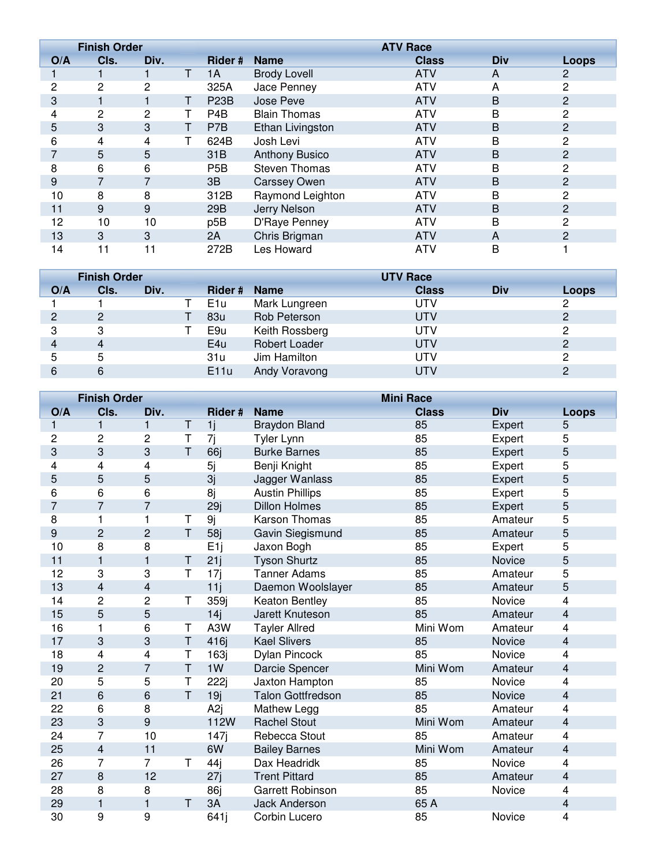|              | <b>Finish Order</b> |                |    |                   | <b>ATV Race</b>       |              |            |       |
|--------------|---------------------|----------------|----|-------------------|-----------------------|--------------|------------|-------|
| O/A          | Cls.                | Div.           |    | Rider #           | <b>Name</b>           | <b>Class</b> | <b>Div</b> | Loops |
|              |                     |                | T. | 1A                | <b>Brody Lovell</b>   | <b>ATV</b>   | A          | 2     |
| $\mathbf{2}$ | $\overline{2}$      | 2              |    | 325A              | Jace Penney           | <b>ATV</b>   | A          | 2     |
| 3            |                     |                |    | P <sub>23</sub> B | Jose Peve             | <b>ATV</b>   | B          | 2     |
| 4            | 2                   | $\overline{2}$ |    | P <sub>4</sub> B  | <b>Blain Thomas</b>   | <b>ATV</b>   | B          | 2     |
| 5            | 3                   | 3              |    | P7B               | Ethan Livingston      | <b>ATV</b>   | B          | 2     |
| 6            | 4                   | 4              |    | 624B              | Josh Levi             | <b>ATV</b>   | B          | 2     |
| 7            | 5                   | 5              |    | 31B               | <b>Anthony Busico</b> | <b>ATV</b>   | B          | 2     |
| 8            | 6                   | 6              |    | P <sub>5</sub> B  | <b>Steven Thomas</b>  | <b>ATV</b>   | B          | 2     |
| 9            | 7                   |                |    | 3B                | <b>Carssey Owen</b>   | <b>ATV</b>   | B          | 2     |
| 10           | 8                   | 8              |    | 312B              | Raymond Leighton      | <b>ATV</b>   | В          | 2     |
| 11           | 9                   | 9              |    | 29B               | Jerry Nelson          | <b>ATV</b>   | B          | 2     |
| 12           | 10                  | 10             |    | p <sub>5B</sub>   | D'Raye Penney         | <b>ATV</b>   | B          | 2     |
| 13           | 3                   | 3              |    | 2A                | Chris Brigman         | <b>ATV</b>   | A          | 2     |
| 14           | 11                  | 11             |    | 272B              | Les Howard            | <b>ATV</b>   | B          |       |

|     | <b>Finish Order</b> |      |  |                 | <b>UTV Race</b> |              |     |       |
|-----|---------------------|------|--|-----------------|-----------------|--------------|-----|-------|
| O/A | Cls.                | Div. |  | Rider # Name    |                 | <b>Class</b> | Div | Loops |
|     |                     |      |  | E <sub>1u</sub> | Mark Lungreen   | UTV          |     | 2     |
|     | 2                   |      |  | 83u             | Rob Peterson    | UTV          |     | 2     |
| 3   | 3                   |      |  | E9u             | Keith Rossberg  | UTV          |     | 2     |
| 4   | 4                   |      |  | E4u             | Robert Loader   | UTV          |     |       |
| 5   | 5                   |      |  | 31u             | Jim Hamilton    | UTV          |     | 2     |
| 6   | 6                   |      |  | E11u            | Andy Voravong   | UTV          |     |       |

|                | <b>Finish Order</b>     |                |        |                 | <b>Mini Race</b>         |              |            |                         |
|----------------|-------------------------|----------------|--------|-----------------|--------------------------|--------------|------------|-------------------------|
| O/A            | Cls.                    | Div.           |        | Rider #         | <b>Name</b>              | <b>Class</b> | <b>Div</b> | Loops                   |
| 1              | 1                       | $\mathbf{1}$   | T      | 1j              | <b>Braydon Bland</b>     | 85           | Expert     | 5                       |
| 2              | 2                       | 2              | T      | 7j              | <b>Tyler Lynn</b>        | 85           | Expert     | 5                       |
| 3              | 3                       | 3              | T      | 66j             | <b>Burke Barnes</b>      | 85           | Expert     | 5                       |
| 4              | 4                       | 4              |        | 5j              | Benji Knight             | 85           | Expert     | 5                       |
| 5              | 5                       | 5              |        | 3j              | Jagger Wanlass           | 85           | Expert     | 5                       |
| 6              | 6                       | 6              |        | 8j              | <b>Austin Phillips</b>   | 85           | Expert     | 5                       |
| $\overline{7}$ | $\overline{7}$          | $\overline{7}$ |        | 29j             | <b>Dillon Holmes</b>     | 85           | Expert     | 5                       |
| 8              | 1                       | $\mathbf{1}$   | Τ      | 9j              | <b>Karson Thomas</b>     | 85           | Amateur    | 5                       |
| 9              | $\overline{c}$          | $\overline{c}$ | T.     | 58j             | Gavin Siegismund         | 85           | Amateur    | 5                       |
| 10             | 8                       | 8              |        | E <sub>1j</sub> | Jaxon Bogh               | 85           | Expert     | 5                       |
| 11             | 1                       | 1              | T.     | 21j             | <b>Tyson Shurtz</b>      | 85           | Novice     | 5                       |
| 12             | 3                       | 3              | T      | 17j             | <b>Tanner Adams</b>      | 85           | Amateur    | 5                       |
| 13             | $\overline{\mathbf{4}}$ | 4              |        | 11j             | Daemon Woolslayer        | 85           | Amateur    | 5                       |
| 14             | $\overline{2}$          | $\overline{2}$ | T      | 359j            | Keaton Bentley           | 85           | Novice     | 4                       |
| 15             | 5                       | 5              |        | 14j             | Jarett Knuteson          | 85           | Amateur    | $\overline{\mathbf{4}}$ |
| 16             | 1                       | 6              | Τ      | A3W             | <b>Tayler Allred</b>     | Mini Wom     | Amateur    | 4                       |
| 17             | 3                       | 3              | T      | 416j            | <b>Kael Slivers</b>      | 85           | Novice     | 4                       |
| 18             | 4                       | 4              | Т      | 163j            | <b>Dylan Pincock</b>     | 85           | Novice     | 4                       |
| 19             | $\overline{c}$          | $\overline{7}$ | $\top$ | 1W              | Darcie Spencer           | Mini Wom     | Amateur    | $\overline{\mathbf{4}}$ |
| 20             | 5                       | 5              | Τ      | 222j            | Jaxton Hampton           | 85           | Novice     | 4                       |
| 21             | 6                       | 6              | T      | 19j             | <b>Talon Gottfredson</b> | 85           | Novice     | $\overline{4}$          |
| 22             | 6                       | 8              |        | A <sub>2j</sub> | Mathew Legg              | 85           | Amateur    | 4                       |
| 23             | 3                       | 9              |        | 112W            | <b>Rachel Stout</b>      | Mini Wom     | Amateur    | $\overline{\mathbf{4}}$ |
| 24             | 7                       | 10             |        | 147j            | Rebecca Stout            | 85           | Amateur    | 4                       |
| 25             | $\overline{\mathbf{4}}$ | 11             |        | 6W              | <b>Bailey Barnes</b>     | Mini Wom     | Amateur    | $\overline{\mathbf{4}}$ |
| 26             | 7                       | 7              | Т      | 44 <sub>j</sub> | Dax Headridk             | 85           | Novice     | 4                       |
| 27             | 8                       | 12             |        | 27j             | <b>Trent Pittard</b>     | 85           | Amateur    | 4                       |
| 28             | 8                       | 8              |        | 86j             | <b>Garrett Robinson</b>  | 85           | Novice     | 4                       |
| 29             | $\mathbf{1}$            | $\mathbf{1}$   | Τ      | 3A              | <b>Jack Anderson</b>     | 65 A         |            | $\overline{\mathbf{4}}$ |
| 30             | 9                       | 9              |        | 641i            | Corbin Lucero            | 85           | Novice     | 4                       |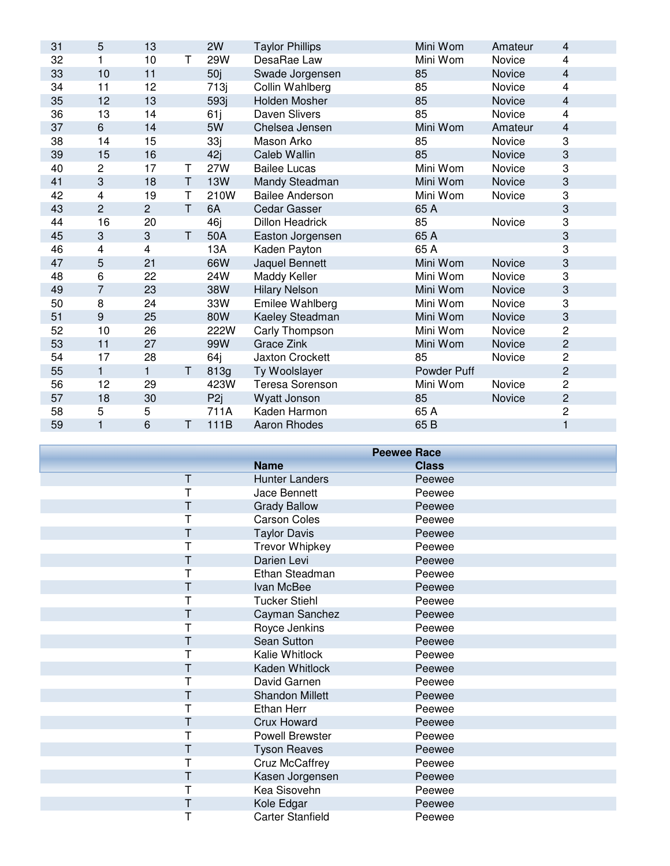| 31 | 5                       | 13             |   | 2W              | <b>Taylor Phillips</b> | Mini Wom    | Amateur | 4                       |
|----|-------------------------|----------------|---|-----------------|------------------------|-------------|---------|-------------------------|
| 32 | 1                       | 10             | Τ | 29W             | DesaRae Law            | Mini Wom    | Novice  | 4                       |
| 33 | 10                      | 11             |   | 50j             | Swade Jorgensen        | 85          | Novice  | 4                       |
| 34 | 11                      | 12             |   | 713j            | Collin Wahlberg        | 85          | Novice  | 4                       |
| 35 | 12                      | 13             |   | 593j            | Holden Mosher          | 85          | Novice  | $\overline{\mathbf{4}}$ |
| 36 | 13                      | 14             |   | 61j             | Daven Slivers          | 85          | Novice  | 4                       |
| 37 | 6                       | 14             |   | 5W              | Chelsea Jensen         | Mini Wom    | Amateur | 4                       |
| 38 | 14                      | 15             |   | 33j             | Mason Arko             | 85          | Novice  | 3                       |
| 39 | 15                      | 16             |   | 42j             | Caleb Wallin           | 85          | Novice  | 3                       |
| 40 | $\overline{c}$          | 17             | Τ | 27W             | <b>Bailee Lucas</b>    | Mini Wom    | Novice  | 3                       |
| 41 | 3                       | 18             | T | <b>13W</b>      | Mandy Steadman         | Mini Wom    | Novice  | 3                       |
| 42 | $\overline{\mathbf{4}}$ | 19             | Τ | 210W            | <b>Bailee Anderson</b> | Mini Wom    | Novice  | 3                       |
| 43 | $\overline{2}$          | $\overline{2}$ | T | 6A              | Cedar Gasser           | 65 A        |         | 3                       |
| 44 | 16                      | 20             |   | 46j             | <b>Dillon Headrick</b> | 85          | Novice  | 3                       |
| 45 | 3                       | 3              | T | 50A             | Easton Jorgensen       | 65 A        |         | 3                       |
| 46 | 4                       | 4              |   | 13A             | Kaden Payton           | 65 A        |         | 3                       |
| 47 | 5                       | 21             |   | 66W             | Jaquel Bennett         | Mini Wom    | Novice  | 3                       |
| 48 | 6                       | 22             |   | 24W             | Maddy Keller           | Mini Wom    | Novice  | 3                       |
| 49 | $\overline{7}$          | 23             |   | 38W             | <b>Hilary Nelson</b>   | Mini Wom    | Novice  | 3                       |
| 50 | 8                       | 24             |   | 33W             | Emilee Wahlberg        | Mini Wom    | Novice  | 3                       |
| 51 | 9                       | 25             |   | 80W             | Kaeley Steadman        | Mini Wom    | Novice  | 3                       |
| 52 | 10                      | 26             |   | 222W            | Carly Thompson         | Mini Wom    | Novice  | 2                       |
| 53 | 11                      | 27             |   | 99W             | Grace Zink             | Mini Wom    | Novice  | $\overline{c}$          |
| 54 | 17                      | 28             |   | 64j             | <b>Jaxton Crockett</b> | 85          | Novice  | $\overline{c}$          |
| 55 | $\mathbf{1}$            | $\mathbf{1}$   | T | 813g            | Ty Woolslayer          | Powder Puff |         | $\overline{c}$          |
| 56 | 12                      | 29             |   | 423W            | <b>Teresa Sorenson</b> | Mini Wom    | Novice  | 2                       |
| 57 | 18                      | 30             |   | P <sub>2j</sub> | Wyatt Jonson           | 85          | Novice  | $\overline{c}$          |
| 58 | 5                       | 5              |   | 711A            | Kaden Harmon           | 65 A        |         | $\overline{c}$          |
| 59 | 1                       | 6              | T | 111B            | <b>Aaron Rhodes</b>    | 65 B        |         | $\mathbf{1}$            |

|   | <b>Peewee Race</b>      |              |
|---|-------------------------|--------------|
|   | <b>Name</b>             | <b>Class</b> |
| T | <b>Hunter Landers</b>   | Peewee       |
|   | Jace Bennett            | Peewee       |
| Τ | <b>Grady Ballow</b>     | Peewee       |
| Т | <b>Carson Coles</b>     | Peewee       |
|   | <b>Taylor Davis</b>     | Peewee       |
| Т | <b>Trevor Whipkey</b>   | Peewee       |
| Τ | Darien Levi             | Peewee       |
|   | Ethan Steadman          | Peewee       |
| Τ | Ivan McBee              | Peewee       |
| Т | <b>Tucker Stiehl</b>    | Peewee       |
| Т | Cayman Sanchez          | Peewee       |
| T | Royce Jenkins           | Peewee       |
| Т | Sean Sutton             | Peewee       |
|   | Kalie Whitlock          | Peewee       |
| Τ | Kaden Whitlock          | Peewee       |
|   | David Garnen            | Peewee       |
| Τ | <b>Shandon Millett</b>  | Peewee       |
| Т | Ethan Herr              | Peewee       |
| Т | <b>Crux Howard</b>      | Peewee       |
|   | Powell Brewster         | Peewee       |
| Τ | <b>Tyson Reaves</b>     | Peewee       |
|   | <b>Cruz McCaffrey</b>   | Peewee       |
| Τ | Kasen Jorgensen         | Peewee       |
| Т | Kea Sisovehn            | Peewee       |
| Т | Kole Edgar              | Peewee       |
| Т | <b>Carter Stanfield</b> | Peewee       |